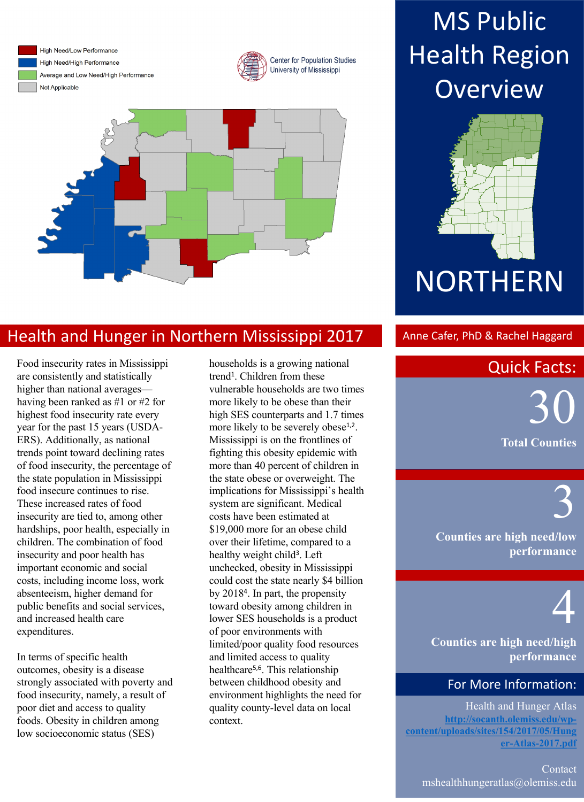

High Need/Low Performance High Need/High Performance Average and Low Need/High Performance Not Applicable





### Health and Hunger in Northern Mississippi 2017 Anne Cafer, PhD & Rachel Haggard

Food insecurity rates in Mississippi are consistently and statistically higher than national averages having been ranked as #1 or #2 for highest food insecurity rate every year for the past 15 years (USDA-ERS). Additionally, as national trends point toward declining rates of food insecurity, the percentage of the state population in Mississippi food insecure continues to rise. These increased rates of food insecurity are tied to, among other hardships, poor health, especially in children. The combination of food insecurity and poor health has important economic and social costs, including income loss, work absenteeism, higher demand for public benefits and social services, and increased health care expenditures.

In terms of specific health outcomes, obesity is a disease strongly associated with poverty and food insecurity, namely, a result of poor diet and access to quality foods. Obesity in children among low socioeconomic status (SES)

households is a growing national trend<sup>1</sup>. Children from these vulnerable households are two times more likely to be obese than their high SES counterparts and 1.7 times more likely to be severely obese<sup>1,2</sup>. Mississippi is on the frontlines of fighting this obesity epidemic with more than 40 percent of children in the state obese or overweight. The implications for Mississippi's health system are significant. Medical costs have been estimated at \$19,000 more for an obese child over their lifetime, compared to a healthy weight child<sup>3</sup>. Left unchecked, obesity in Mississippi could cost the state nearly \$4 billion by 20184. In part, the propensity toward obesity among children in lower SES households is a product of poor environments with limited/poor quality food resources and limited access to quality healthcare5,6. This relationship between childhood obesity and environment highlights the need for quality county-level data on local context.

## **MS Public Health Region Overview**



#### **Quick Facts:**

 $\mathbf{a}$ And Obesity in Childhood.  $\mathcal{L}$  and  $\mathcal{L}$  of  $\mathcal{L}$ 30 **Total Counties**

> **Counties are high need/low performance**

# 4

3

**Counties are high need/high performance**

#### For More Information:

Health and Hunger Atlas **http://socanth.olemiss.edu/wpcontent/uploads/sites/154/2017/05/Hung er-Atlas-2017.pdf**

Contact mshealthhungeratlas@olemiss.edu